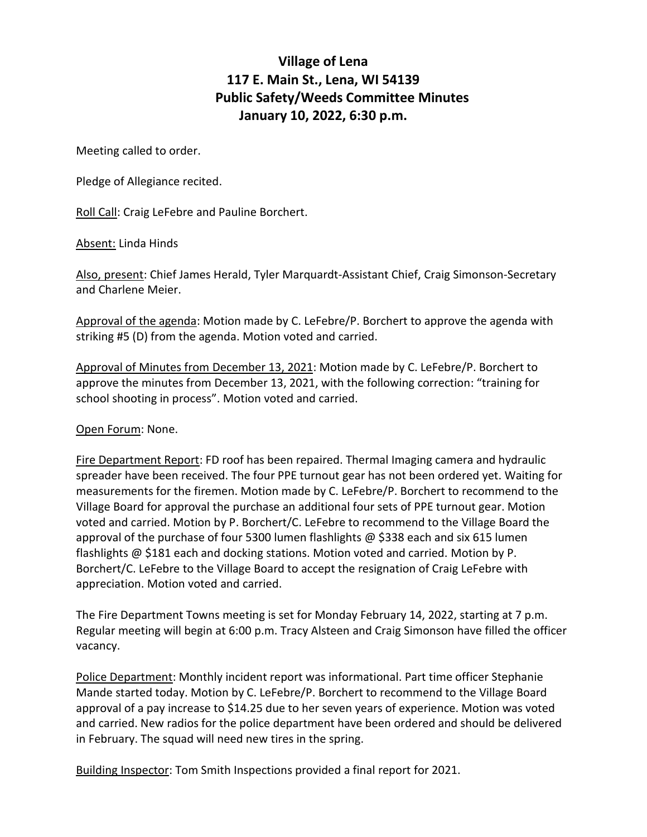## **Village of Lena 117 E. Main St., Lena, WI 54139 Public Safety/Weeds Committee Minutes January 10, 2022, 6:30 p.m.**

Meeting called to order.

Pledge of Allegiance recited.

Roll Call: Craig LeFebre and Pauline Borchert.

Absent: Linda Hinds

Also, present: Chief James Herald, Tyler Marquardt-Assistant Chief, Craig Simonson-Secretary and Charlene Meier.

Approval of the agenda: Motion made by C. LeFebre/P. Borchert to approve the agenda with striking #5 (D) from the agenda. Motion voted and carried.

Approval of Minutes from December 13, 2021: Motion made by C. LeFebre/P. Borchert to approve the minutes from December 13, 2021, with the following correction: "training for school shooting in process". Motion voted and carried.

Open Forum: None.

Fire Department Report: FD roof has been repaired. Thermal Imaging camera and hydraulic spreader have been received. The four PPE turnout gear has not been ordered yet. Waiting for measurements for the firemen. Motion made by C. LeFebre/P. Borchert to recommend to the Village Board for approval the purchase an additional four sets of PPE turnout gear. Motion voted and carried. Motion by P. Borchert/C. LeFebre to recommend to the Village Board the approval of the purchase of four 5300 lumen flashlights  $\omega$  \$338 each and six 615 lumen flashlights @ \$181 each and docking stations. Motion voted and carried. Motion by P. Borchert/C. LeFebre to the Village Board to accept the resignation of Craig LeFebre with appreciation. Motion voted and carried.

The Fire Department Towns meeting is set for Monday February 14, 2022, starting at 7 p.m. Regular meeting will begin at 6:00 p.m. Tracy Alsteen and Craig Simonson have filled the officer vacancy.

Police Department: Monthly incident report was informational. Part time officer Stephanie Mande started today. Motion by C. LeFebre/P. Borchert to recommend to the Village Board approval of a pay increase to \$14.25 due to her seven years of experience. Motion was voted and carried. New radios for the police department have been ordered and should be delivered in February. The squad will need new tires in the spring.

Building Inspector: Tom Smith Inspections provided a final report for 2021.